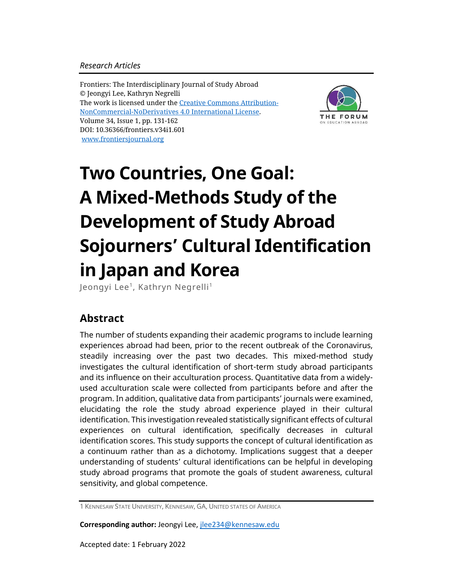## *Research Articles*

Frontiers: The Interdisciplinary Journal of Study Abroad © Jeongyi Lee, Kathryn Negrelli The work is licensed under the [Creative Commons Attribution-](https://creativecommons.org/licenses/by-nc-nd/4.0/)[NonCommercial-NoDerivatives](https://creativecommons.org/licenses/by-nc-nd/4.0/) 4.0 International License. Volume 34, Issue 1, pp. 131-162 DOI: 10.36366/frontiers.v34i1.601 [www.frontiersjournal.org](http://www.frontiersjournal.org/)



# **Two Countries, One Goal: A Mixed-Methods Study of the Development of Study Abroad Sojourners' Cultural Identification in Japan and Korea**

Jeongyi Lee<sup>1</sup>, Kathryn Negrelli<sup>1</sup>

# **Abstract**

The number of students expanding their academic programs to include learning experiences abroad had been, prior to the recent outbreak of the Coronavirus, steadily increasing over the past two decades. This mixed-method study investigates the cultural identification of short-term study abroad participants and its influence on their acculturation process. Quantitative data from a widelyused acculturation scale were collected from participants before and after the program. In addition, qualitative data from participants' journals were examined, elucidating the role the study abroad experience played in their cultural identification. This investigation revealed statistically significant effects of cultural experiences on cultural identification, specifically decreases in cultural identification scores. This study supports the concept of cultural identification as a continuum rather than as a dichotomy. Implications suggest that a deeper understanding of students' cultural identifications can be helpful in developing study abroad programs that promote the goals of student awareness, cultural sensitivity, and global competence.

1 KENNESAW STATE UNIVERSITY, KENNESAW, GA, UNITED STATES OF AMERICA

**Corresponding author:** Jeongyi Lee, [jlee234@kennesaw.edu](mailto:jlee234@kennesaw.edu)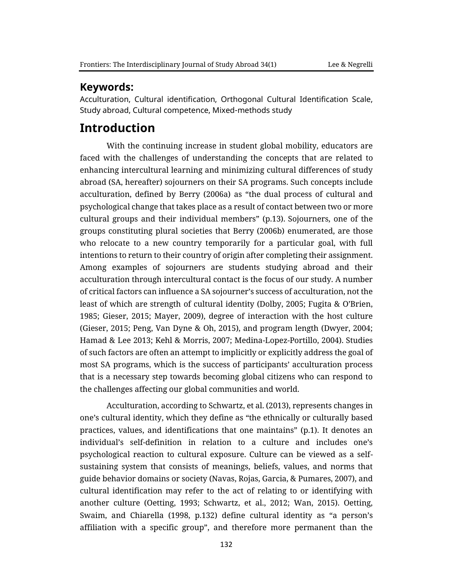## **Keywords:**

Acculturation, Cultural identification, Orthogonal Cultural Identification Scale, Study abroad, Cultural competence, Mixed-methods study

# **Introduction**

With the continuing increase in student global mobility, educators are faced with the challenges of understanding the concepts that are related to enhancing intercultural learning and minimizing cultural differences of study abroad (SA, hereafter) sojourners on their SA programs. Such concepts include acculturation, defined by Berry (2006a) as "the dual process of cultural and psychological change that takes place as a result of contact between two or more cultural groups and their individual members" (p.13). Sojourners, one of the groups constituting plural societies that Berry (2006b) enumerated, are those who relocate to a new country temporarily for a particular goal, with full intentions to return to their country of origin after completing their assignment. Among examples of sojourners are students studying abroad and their acculturation through intercultural contact is the focus of our study. A number of critical factors can influence a SA sojourner's success of acculturation, not the least of which are strength of cultural identity (Dolby, 2005; Fugita & O'Brien, 1985; Gieser, 2015; Mayer, 2009), degree of interaction with the host culture (Gieser, 2015; Peng, Van Dyne & Oh, 2015), and program length (Dwyer, 2004; Hamad & Lee 2013; Kehl & Morris, 2007; Medina-Lopez-Portillo, 2004). Studies of such factors are often an attempt to implicitly or explicitly address the goal of most SA programs, which is the success of participants' acculturation process that is a necessary step towards becoming global citizens who can respond to the challenges affecting our global communities and world.

Acculturation, according to Schwartz, et al. (2013), represents changes in one's cultural identity, which they define as "the ethnically or culturally based practices, values, and identifications that one maintains" (p.1). It denotes an individual's self-definition in relation to a culture and includes one's psychological reaction to cultural exposure. Culture can be viewed as a selfsustaining system that consists of meanings, beliefs, values, and norms that guide behavior domains or society (Navas, Rojas, Garcia, & Pumares, 2007), and cultural identification may refer to the act of relating to or identifying with another culture (Oetting, 1993; Schwartz, et al., 2012; Wan, 2015). Oetting, Swaim, and Chiarella (1998, p.132) define cultural identity as "a person's affiliation with a specific group", and therefore more permanent than the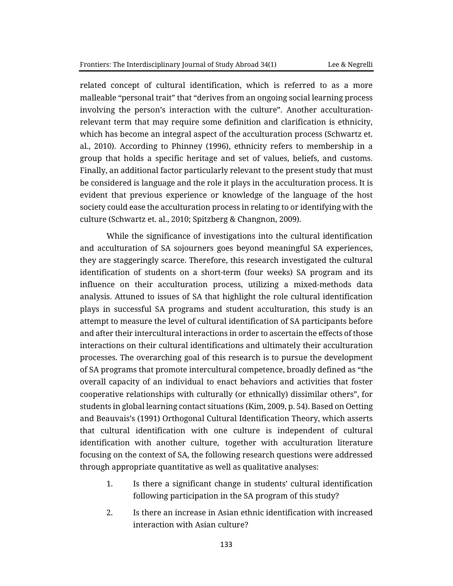related concept of cultural identification, which is referred to as a more malleable "personal trait" that "derives from an ongoing social learning process involving the person's interaction with the culture". Another acculturationrelevant term that may require some definition and clarification is ethnicity, which has become an integral aspect of the acculturation process (Schwartz et. al., 2010). According to Phinney (1996), ethnicity refers to membership in a group that holds a specific heritage and set of values, beliefs, and customs. Finally, an additional factor particularly relevant to the present study that must be considered is language and the role it plays in the acculturation process. It is evident that previous experience or knowledge of the language of the host society could ease the acculturation process in relating to or identifying with the culture (Schwartz et. al., 2010; Spitzberg & Changnon, 2009).

While the significance of investigations into the cultural identification and acculturation of SA sojourners goes beyond meaningful SA experiences, they are staggeringly scarce. Therefore, this research investigated the cultural identification of students on a short-term (four weeks) SA program and its influence on their acculturation process, utilizing a mixed-methods data analysis. Attuned to issues of SA that highlight the role cultural identification plays in successful SA programs and student acculturation, this study is an attempt to measure the level of cultural identification of SA participants before and after their intercultural interactions in order to ascertain the effects of those interactions on their cultural identifications and ultimately their acculturation processes. The overarching goal of this research is to pursue the development of SA programs that promote intercultural competence, broadly defined as "the overall capacity of an individual to enact behaviors and activities that foster cooperative relationships with culturally (or ethnically) dissimilar others", for students in global learning contact situations (Kim, 2009, p. 54). Based on Oetting and Beauvais's (1991) Orthogonal Cultural Identification Theory, which asserts that cultural identification with one culture is independent of cultural identification with another culture, together with acculturation literature focusing on the context of SA, the following research questions were addressed through appropriate quantitative as well as qualitative analyses:

- 1. Is there a significant change in students' cultural identification following participation in the SA program of this study?
- 2. Is there an increase in Asian ethnic identification with increased interaction with Asian culture?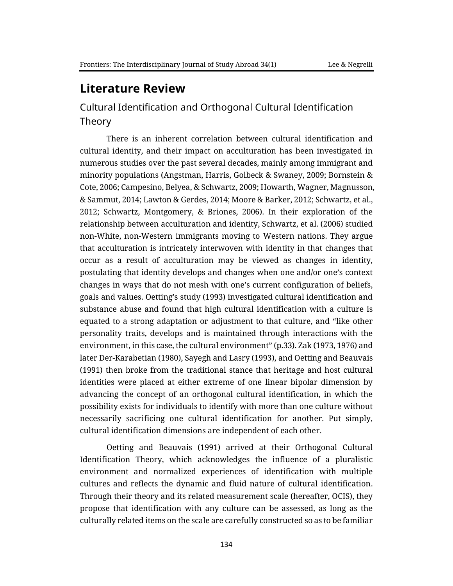# **Literature Review**

# Cultural Identification and Orthogonal Cultural Identification Theory

There is an inherent correlation between cultural identification and cultural identity, and their impact on acculturation has been investigated in numerous studies over the past several decades, mainly among immigrant and minority populations (Angstman, Harris, Golbeck & Swaney, 2009; Bornstein & Cote, 2006; Campesino, Belyea, & Schwartz, 2009; Howarth, Wagner, Magnusson, & Sammut, 2014; Lawton & Gerdes, 2014; Moore & Barker, 2012; Schwartz, et al., 2012; Schwartz, Montgomery, & Briones, 2006). In their exploration of the relationship between acculturation and identity, Schwartz, et al. (2006) studied non-White, non-Western immigrants moving to Western nations. They argue that acculturation is intricately interwoven with identity in that changes that occur as a result of acculturation may be viewed as changes in identity, postulating that identity develops and changes when one and/or one's context changes in ways that do not mesh with one's current configuration of beliefs, goals and values. Oetting's study (1993) investigated cultural identification and substance abuse and found that high cultural identification with a culture is equated to a strong adaptation or adjustment to that culture, and "like other personality traits, develops and is maintained through interactions with the environment, in this case, the cultural environment" (p.33). Zak (1973, 1976) and later Der-Karabetian (1980), Sayegh and Lasry (1993), and Oetting and Beauvais (1991) then broke from the traditional stance that heritage and host cultural identities were placed at either extreme of one linear bipolar dimension by advancing the concept of an orthogonal cultural identification, in which the possibility exists for individuals to identify with more than one culture without necessarily sacrificing one cultural identification for another. Put simply, cultural identification dimensions are independent of each other.

Oetting and Beauvais (1991) arrived at their Orthogonal Cultural Identification Theory, which acknowledges the influence of a pluralistic environment and normalized experiences of identification with multiple cultures and reflects the dynamic and fluid nature of cultural identification. Through their theory and its related measurement scale (hereafter, OCIS), they propose that identification with any culture can be assessed, as long as the culturally related items on the scale are carefully constructed so as to be familiar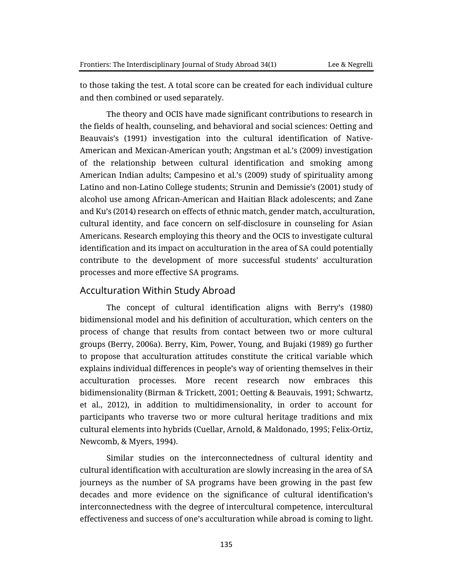to those taking the test. A total score can be created for each individual culture and then combined or used separately.

The theory and OCIS have made significant contributions to research in the fields of health, counseling, and behavioral and social sciences: Oetting and Beauvais's (1991) investigation into the cultural identification of Native-American and Mexican-American youth; Angstman et al.'s (2009) investigation of the relationship between cultural identification and smoking among American Indian adults; Campesino et al.'s (2009) study of spirituality among Latino and non-Latino College students; Strunin and Demissie's (2001) study of alcohol use among African-American and Haitian Black adolescents; and Zane and Ku's (2014) research on effects of ethnic match, gender match, acculturation, cultural identity, and face concern on self-disclosure in counseling for Asian Americans. Research employing this theory and the OCIS to investigate cultural identification and its impact on acculturation in the area of SA could potentially contribute to the development of more successful students' acculturation processes and more effective SA programs.

### Acculturation Within Study Abroad

The concept of cultural identification aligns with Berry's (1980) bidimensional model and his definition of acculturation, which centers on the process of change that results from contact between two or more cultural groups (Berry, 2006a). Berry, Kim, Power, Young, and Bujaki (1989) go further to propose that acculturation attitudes constitute the critical variable which explains individual differences in people's way of orienting themselves in their acculturation processes. More recent research now embraces this bidimensionality (Birman & Trickett, 2001; Oetting & Beauvais, 1991; Schwartz, et al., 2012), in addition to multidimensionality, in order to account for participants who traverse two or more cultural heritage traditions and mix cultural elements into hybrids (Cuellar, Arnold, & Maldonado, 1995; Felix-Ortiz, Newcomb, & Myers, 1994).

Similar studies on the interconnectedness of cultural identity and cultural identification with acculturation are slowly increasing in the area of SA journeys as the number of SA programs have been growing in the past few decades and more evidence on the significance of cultural identification's interconnectedness with the degree of intercultural competence, intercultural effectiveness and success of one's acculturation while abroad is coming to light.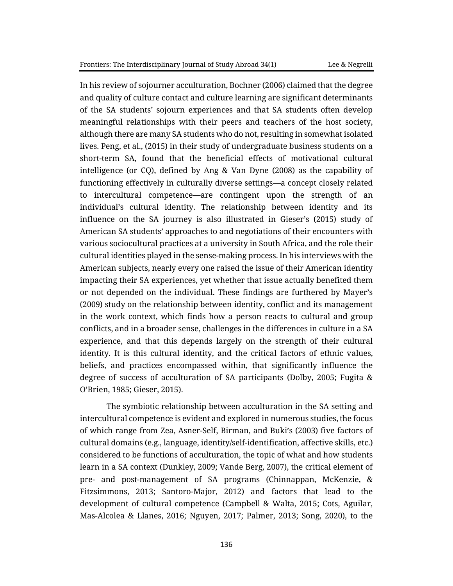In his review of sojourner acculturation, Bochner (2006) claimed that the degree and quality of culture contact and culture learning are significant determinants of the SA students' sojourn experiences and that SA students often develop meaningful relationships with their peers and teachers of the host society, although there are many SA students who do not, resulting in somewhat isolated lives. Peng, et al., (2015) in their study of undergraduate business students on a short-term SA, found that the beneficial effects of motivational cultural intelligence (or CQ), defined by Ang & Van Dyne (2008) as the capability of functioning effectively in culturally diverse settings—a concept closely related to intercultural competence—are contingent upon the strength of an individual's cultural identity. The relationship between identity and its influence on the SA journey is also illustrated in Gieser's (2015) study of American SA students' approaches to and negotiations of their encounters with various sociocultural practices at a university in South Africa, and the role their cultural identities played in the sense-making process. In his interviews with the American subjects, nearly every one raised the issue of their American identity impacting their SA experiences, yet whether that issue actually benefited them or not depended on the individual. These findings are furthered by Mayer's (2009) study on the relationship between identity, conflict and its management in the work context, which finds how a person reacts to cultural and group conflicts, and in a broader sense, challenges in the differences in culture in a SA experience, and that this depends largely on the strength of their cultural identity. It is this cultural identity, and the critical factors of ethnic values, beliefs, and practices encompassed within, that significantly influence the degree of success of acculturation of SA participants (Dolby, 2005; Fugita & O'Brien, 1985; Gieser, 2015).

The symbiotic relationship between acculturation in the SA setting and intercultural competence is evident and explored in numerous studies, the focus of which range from Zea, Asner-Self, Birman, and Buki's (2003) five factors of cultural domains (e.g., language, identity/self-identification, affective skills, etc.) considered to be functions of acculturation, the topic of what and how students learn in a SA context (Dunkley, 2009; Vande Berg, 2007), the critical element of pre- and post-management of SA programs (Chinnappan, McKenzie, & Fitzsimmons, 2013; Santoro-Major, 2012) and factors that lead to the development of cultural competence (Campbell & Walta, 2015; Cots, Aguilar, Mas-Alcolea & Llanes, 2016; Nguyen, 2017; Palmer, 2013; Song, 2020), to the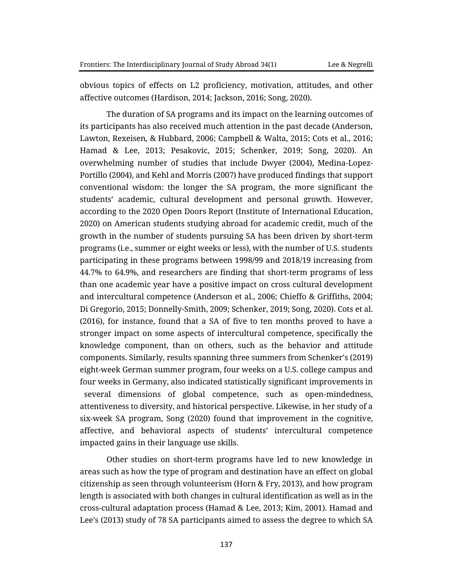obvious topics of effects on L2 proficiency, motivation, attitudes, and other affective outcomes (Hardison, 2014; Jackson, 2016; Song, 2020).

The duration of SA programs and its impact on the learning outcomes of its participants has also received much attention in the past decade (Anderson, Lawton, Rexeisen, & Hubbard, 2006; Campbell & Walta, 2015; Cots et al., 2016; Hamad & Lee, 2013; Pesakovic, 2015; Schenker, 2019; Song, 2020). An overwhelming number of studies that include Dwyer (2004), Medina-Lopez-Portillo (2004), and Kehl and Morris (2007) have produced findings that support conventional wisdom: the longer the SA program, the more significant the students' academic, cultural development and personal growth. However, according to the 2020 Open Doors Report (Institute of International Education, 2020) on American students studying abroad for academic credit, much of the growth in the number of students pursuing SA has been driven by short-term programs (i.e., summer or eight weeks or less), with the number of U.S. students participating in these programs between 1998/99 and 2018/19 increasing from 44.7% to 64.9%, and researchers are finding that short-term programs of less than one academic year have a positive impact on cross cultural development and intercultural competence (Anderson et al., 2006; Chieffo & Griffiths, 2004; Di Gregorio, 2015; Donnelly-Smith, 2009; Schenker, 2019; Song, 2020). Cots et al. (2016), for instance, found that a SA of five to ten months proved to have a stronger impact on some aspects of intercultural competence, specifically the knowledge component, than on others, such as the behavior and attitude components. Similarly, results spanning three summers from Schenker's (2019) eight-week German summer program, four weeks on a U.S. college campus and four weeks in Germany, also indicated statistically significant improvements in several dimensions of global competence, such as open-mindedness, attentiveness to diversity, and historical perspective. Likewise, in her study of a six-week SA program, Song (2020) found that improvement in the cognitive, affective, and behavioral aspects of students' intercultural competence impacted gains in their language use skills.

Other studies on short-term programs have led to new knowledge in areas such as how the type of program and destination have an effect on global citizenship as seen through volunteerism (Horn & Fry, 2013), and how program length is associated with both changes in cultural identification as well as in the cross-cultural adaptation process (Hamad & Lee, 2013; Kim, 2001). Hamad and Lee's (2013) study of 78 SA participants aimed to assess the degree to which SA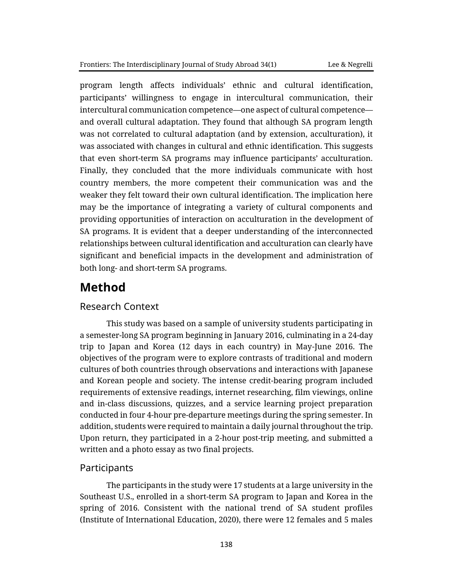program length affects individuals' ethnic and cultural identification, participants' willingness to engage in intercultural communication, their intercultural communication competence—one aspect of cultural competence and overall cultural adaptation. They found that although SA program length was not correlated to cultural adaptation (and by extension, acculturation), it was associated with changes in cultural and ethnic identification. This suggests that even short-term SA programs may influence participants' acculturation. Finally, they concluded that the more individuals communicate with host country members, the more competent their communication was and the weaker they felt toward their own cultural identification. The implication here may be the importance of integrating a variety of cultural components and providing opportunities of interaction on acculturation in the development of SA programs. It is evident that a deeper understanding of the interconnected relationships between cultural identification and acculturation can clearly have significant and beneficial impacts in the development and administration of both long- and short-term SA programs.

# **Method**

## Research Context

This study was based on a sample of university students participating in a semester-long SA program beginning in January 2016, culminating in a 24-day trip to Japan and Korea (12 days in each country) in May-June 2016. The objectives of the program were to explore contrasts of traditional and modern cultures of both countries through observations and interactions with Japanese and Korean people and society. The intense credit-bearing program included requirements of extensive readings, internet researching, film viewings, online and in-class discussions, quizzes, and a service learning project preparation conducted in four 4-hour pre-departure meetings during the spring semester. In addition, students were required to maintain a daily journal throughout the trip. Upon return, they participated in a 2-hour post-trip meeting, and submitted a written and a photo essay as two final projects.

## Participants

The participants in the study were 17 students at a large university in the Southeast U.S., enrolled in a short-term SA program to Japan and Korea in the spring of 2016. Consistent with the national trend of SA student profiles (Institute of International Education, 2020), there were 12 females and 5 males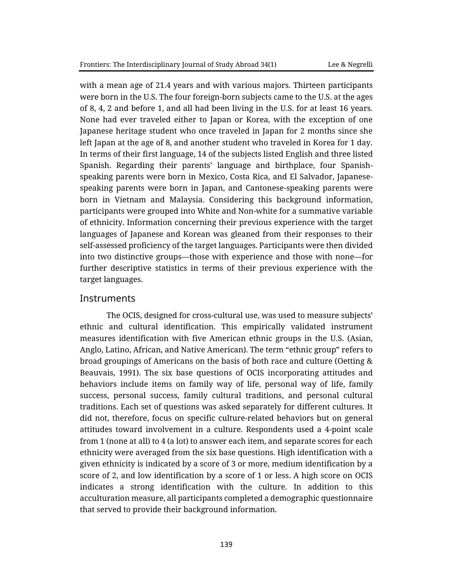with a mean age of 21.4 years and with various majors. Thirteen participants were born in the U.S. The four foreign-born subjects came to the U.S. at the ages of 8, 4, 2 and before 1, and all had been living in the U.S. for at least 16 years. None had ever traveled either to Japan or Korea, with the exception of one Japanese heritage student who once traveled in Japan for 2 months since she left Japan at the age of 8, and another student who traveled in Korea for 1 day. In terms of their first language, 14 of the subjects listed English and three listed Spanish. Regarding their parents' language and birthplace, four Spanishspeaking parents were born in Mexico, Costa Rica, and El Salvador, Japanesespeaking parents were born in Japan, and Cantonese-speaking parents were born in Vietnam and Malaysia. Considering this background information, participants were grouped into White and Non-white for a summative variable of ethnicity. Information concerning their previous experience with the target languages of Japanese and Korean was gleaned from their responses to their self-assessed proficiency of the target languages. Participants were then divided into two distinctive groups—those with experience and those with none—for further descriptive statistics in terms of their previous experience with the target languages.

#### **Instruments**

The OCIS, designed for cross-cultural use, was used to measure subjects' ethnic and cultural identification. This empirically validated instrument measures identification with five American ethnic groups in the U.S. (Asian, Anglo, Latino, African, and Native American). The term "ethnic group" refers to broad groupings of Americans on the basis of both race and culture (Oetting & Beauvais, 1991). The six base questions of OCIS incorporating attitudes and behaviors include items on family way of life, personal way of life, family success, personal success, family cultural traditions, and personal cultural traditions. Each set of questions was asked separately for different cultures. It did not, therefore, focus on specific culture-related behaviors but on general attitudes toward involvement in a culture. Respondents used a 4-point scale from 1 (none at all) to 4 (a lot) to answer each item, and separate scores for each ethnicity were averaged from the six base questions. High identification with a given ethnicity is indicated by a score of 3 or more, medium identification by a score of 2, and low identification by a score of 1 or less. A high score on OCIS indicates a strong identification with the culture. In addition to this acculturation measure, all participants completed a demographic questionnaire that served to provide their background information.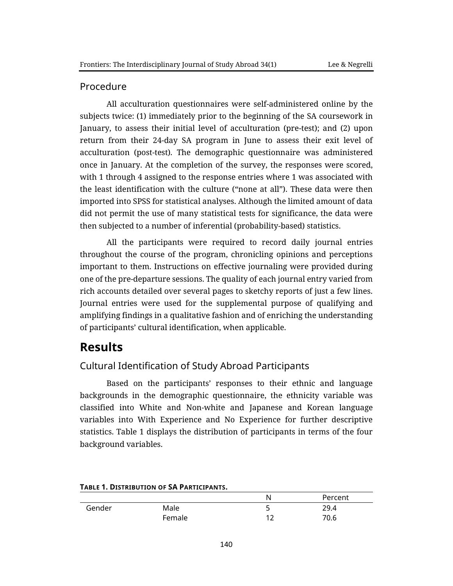## Procedure

All acculturation questionnaires were self-administered online by the subjects twice: (1) immediately prior to the beginning of the SA coursework in January, to assess their initial level of acculturation (pre-test); and (2) upon return from their 24-day SA program in June to assess their exit level of acculturation (post-test). The demographic questionnaire was administered once in January. At the completion of the survey, the responses were scored, with 1 through 4 assigned to the response entries where 1 was associated with the least identification with the culture ("none at all"). These data were then imported into SPSS for statistical analyses. Although the limited amount of data did not permit the use of many statistical tests for significance, the data were then subjected to a number of inferential (probability-based) statistics.

All the participants were required to record daily journal entries throughout the course of the program, chronicling opinions and perceptions important to them. Instructions on effective journaling were provided during one of the pre-departure sessions. The quality of each journal entry varied from rich accounts detailed over several pages to sketchy reports of just a few lines. Journal entries were used for the supplemental purpose of qualifying and amplifying findings in a qualitative fashion and of enriching the understanding of participants' cultural identification, when applicable.

# **Results**

# Cultural Identification of Study Abroad Participants

Based on the participants' responses to their ethnic and language backgrounds in the demographic questionnaire, the ethnicity variable was classified into White and Non-white and Japanese and Korean language variables into With Experience and No Experience for further descriptive statistics. Table 1 displays the distribution of participants in terms of the four background variables.

|        |        | N  | Percent |
|--------|--------|----|---------|
| Gender | Male   | ــ | 29.4    |
|        | Female |    | 70.6    |

#### **TABLE 1. DISTRIBUTION OF SA PARTICIPANTS.**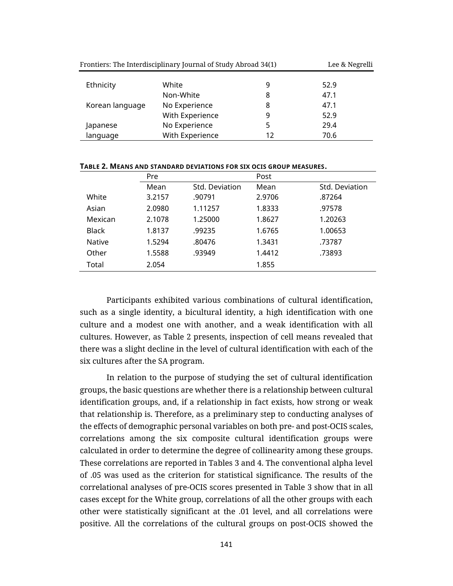| Frontiers: The Interdisciplinary Journal of Study Abroad 34(1) |                 |    | Lee & Negrelli |  |
|----------------------------------------------------------------|-----------------|----|----------------|--|
| Ethnicity                                                      | White           | 9  | 52.9           |  |
|                                                                | Non-White       | 8  | 47.1           |  |
| Korean language                                                | No Experience   | 8  | 47.1           |  |
|                                                                | With Experience | 9  | 52.9           |  |
| Japanese                                                       | No Experience   | 5  | 29.4           |  |
| language                                                       | With Experience | 12 | 70.6           |  |

**TABLE 2. MEANS AND STANDARD DEVIATIONS FOR SIX OCIS GROUP MEASURES.**

|              | Pre    |                | Post   |                |  |
|--------------|--------|----------------|--------|----------------|--|
|              | Mean   | Std. Deviation | Mean   | Std. Deviation |  |
| White        | 3.2157 | .90791         | 2.9706 | .87264         |  |
| Asian        | 2.0980 | 1.11257        | 1.8333 | .97578         |  |
| Mexican      | 2.1078 | 1.25000        | 1.8627 | 1.20263        |  |
| <b>Black</b> | 1.8137 | .99235         | 1.6765 | 1.00653        |  |
| Native       | 1.5294 | .80476         | 1.3431 | .73787         |  |
| Other        | 1.5588 | .93949         | 1.4412 | .73893         |  |
| Total        | 2.054  |                | 1.855  |                |  |
|              |        |                |        |                |  |

Participants exhibited various combinations of cultural identification, such as a single identity, a bicultural identity, a high identification with one culture and a modest one with another, and a weak identification with all cultures. However, as Table 2 presents, inspection of cell means revealed that there was a slight decline in the level of cultural identification with each of the six cultures after the SA program.

In relation to the purpose of studying the set of cultural identification groups, the basic questions are whether there is a relationship between cultural identification groups, and, if a relationship in fact exists, how strong or weak that relationship is. Therefore, as a preliminary step to conducting analyses of the effects of demographic personal variables on both pre- and post-OCIS scales, correlations among the six composite cultural identification groups were calculated in order to determine the degree of collinearity among these groups. These correlations are reported in Tables 3 and 4. The conventional alpha level of .05 was used as the criterion for statistical significance. The results of the correlational analyses of pre-OCIS scores presented in Table 3 show that in all cases except for the White group, correlations of all the other groups with each other were statistically significant at the .01 level, and all correlations were positive. All the correlations of the cultural groups on post-OCIS showed the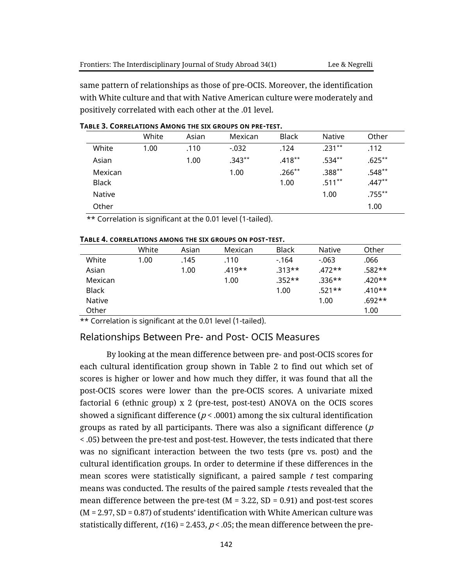same pattern of relationships as those of pre-OCIS. Moreover, the identification with White culture and that with Native American culture were moderately and positively correlated with each other at the .01 level.

|               | White | Asian | Mexican   | <b>Black</b> | <b>Native</b> | Other     |
|---------------|-------|-------|-----------|--------------|---------------|-----------|
| White         | 1.00  | .110  | $-0.032$  | .124         | $.231***$     | .112      |
| Asian         |       | 1.00  | $.343***$ | $.418***$    | $.534***$     | $.625**$  |
| Mexican       |       |       | 1.00      | $.266**$     | $.388**$      | $.548**$  |
| <b>Black</b>  |       |       |           | 1.00         | $.511***$     | $.447**$  |
| <b>Native</b> |       |       |           |              | 1.00          | $.755***$ |
| Other         |       |       |           |              |               | 1.00      |

#### **TABLE 3. CORRELATIONS AMONG THE SIX GROUPS ON PRE-TEST.**

\*\* Correlation is significant at the 0.01 level (1-tailed).

|              | White | Asian | Mexican  | <b>Black</b> | Native   | Other    |
|--------------|-------|-------|----------|--------------|----------|----------|
| White        | 1.00  | .145  | .110     | $-164$       | $-063$   | .066     |
| Asian        |       | 1.00  | $.419**$ | $.313**$     | $.472**$ | .582**   |
| Mexican      |       |       | 1.00     | $.352**$     | $.336**$ | $.420**$ |
| <b>Black</b> |       |       |          | 1.00         | $.521**$ | $.410**$ |
| Native       |       |       |          |              | 1.00     | $.692**$ |
| Other        |       |       |          |              |          | 1.00     |

#### **TABLE 4. CORRELATIONS AMONG THE SIX GROUPS ON POST-TEST.**

\*\* Correlation is significant at the 0.01 level (1-tailed).

#### Relationships Between Pre- and Post- OCIS Measures

By looking at the mean difference between pre- and post-OCIS scores for each cultural identification group shown in Table 2 to find out which set of scores is higher or lower and how much they differ, it was found that all the post-OCIS scores were lower than the pre-OCIS scores. A univariate mixed factorial 6 (ethnic group) x 2 (pre-test, post-test) ANOVA on the OCIS scores showed a significant difference ( $p < .0001$ ) among the six cultural identification groups as rated by all participants. There was also a significant difference  $(p)$ < .05) between the pre-test and post-test. However, the tests indicated that there was no significant interaction between the two tests (pre vs. post) and the cultural identification groups. In order to determine if these differences in the mean scores were statistically significant, a paired sample  $t$  test comparing means was conducted. The results of the paired sample t tests revealed that the mean difference between the pre-test ( $M = 3.22$ ,  $SD = 0.91$ ) and post-test scores (M = 2.97, SD = 0.87) of students' identification with White American culture was statistically different,  $t(16)$  = 2.453,  $p<$  .05; the mean difference between the pre-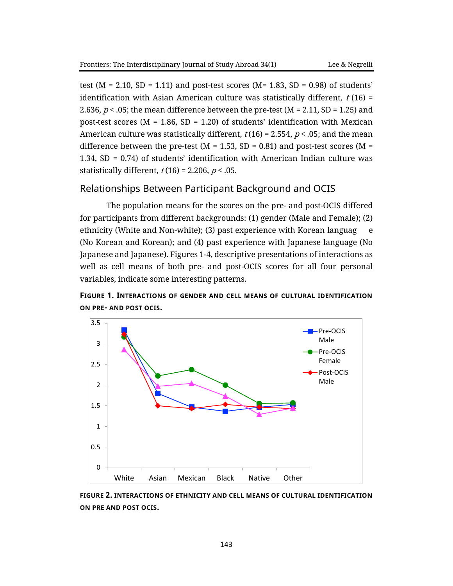test ( $M = 2.10$ ,  $SD = 1.11$ ) and post-test scores ( $M = 1.83$ ,  $SD = 0.98$ ) of students' identification with Asian American culture was statistically different,  $t$  (16) = 2.636,  $p <$  .05; the mean difference between the pre-test (M = 2.11, SD = 1.25) and post-test scores ( $M = 1.86$ , SD = 1.20) of students' identification with Mexican American culture was statistically different,  $t(16)$  = 2.554,  $p$  < .05; and the mean difference between the pre-test ( $M = 1.53$ , SD = 0.81) and post-test scores ( $M =$ 1.34, SD = 0.74) of students' identification with American Indian culture was statistically different,  $t(16) = 2.206$ ,  $p < .05$ .

## Relationships Between Participant Background and OCIS

The population means for the scores on the pre- and post-OCIS differed for participants from different backgrounds: (1) gender (Male and Female); (2) ethnicity (White and Non-white); (3) past experience with Korean languag e (No Korean and Korean); and (4) past experience with Japanese language (No Japanese and Japanese). Figures 1-4, descriptive presentations of interactions as well as cell means of both pre- and post-OCIS scores for all four personal variables, indicate some interesting patterns.

**FIGURE 1. INTERACTIONS OF GENDER AND CELL MEANS OF CULTURAL IDENTIFICATION ON PRE- AND POST OCIS.**



**FIGURE 2. INTERACTIONS OF ETHNICITY AND CELL MEANS OF CULTURAL IDENTIFICATION ON PRE AND POST OCIS.**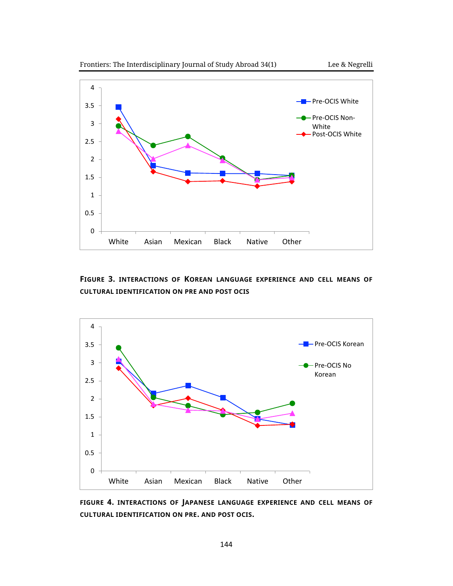

**FIGURE 3. INTERACTIONS OF KOREAN LANGUAGE EXPERIENCE AND CELL MEANS OF CULTURAL IDENTIFICATION ON PRE AND POST OCIS**



**FIGURE 4. INTERACTIONS OF JAPANESE LANGUAGE EXPERIENCE AND CELL MEANS OF CULTURAL IDENTIFICATION ON PRE. AND POST OCIS.**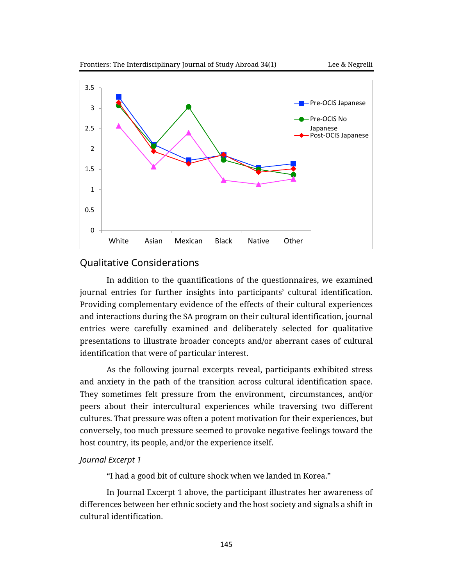



## Qualitative Considerations

In addition to the quantifications of the questionnaires, we examined journal entries for further insights into participants' cultural identification. Providing complementary evidence of the effects of their cultural experiences and interactions during the SA program on their cultural identification, journal entries were carefully examined and deliberately selected for qualitative presentations to illustrate broader concepts and/or aberrant cases of cultural identification that were of particular interest.

As the following journal excerpts reveal, participants exhibited stress and anxiety in the path of the transition across cultural identification space. They sometimes felt pressure from the environment, circumstances, and/or peers about their intercultural experiences while traversing two different cultures. That pressure was often a potent motivation for their experiences, but conversely, too much pressure seemed to provoke negative feelings toward the host country, its people, and/or the experience itself.

## *Journal Excerpt 1*

"I had a good bit of culture shock when we landed in Korea."

In Journal Excerpt 1 above, the participant illustrates her awareness of differences between her ethnic society and the host society and signals a shift in cultural identification.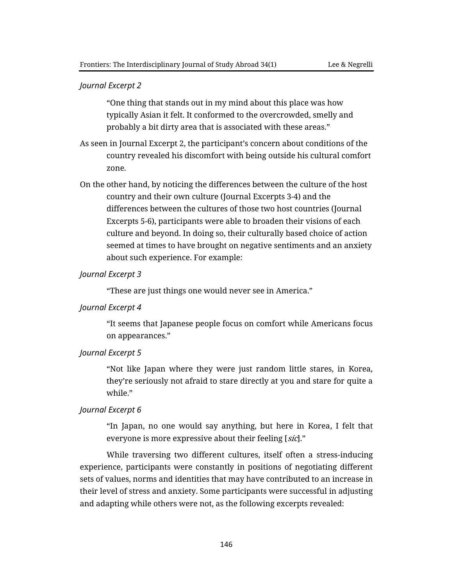#### *Journal Excerpt 2*

"One thing that stands out in my mind about this place was how typically Asian it felt. It conformed to the overcrowded, smelly and probably a bit dirty area that is associated with these areas."

- As seen in Journal Excerpt 2, the participant's concern about conditions of the country revealed his discomfort with being outside his cultural comfort zone.
- On the other hand, by noticing the differences between the culture of the host country and their own culture (Journal Excerpts 3-4) and the differences between the cultures of those two host countries (Journal Excerpts 5-6), participants were able to broaden their visions of each culture and beyond. In doing so, their culturally based choice of action seemed at times to have brought on negative sentiments and an anxiety about such experience. For example:

#### *Journal Excerpt 3*

"These are just things one would never see in America."

#### *Journal Excerpt 4*

"It seems that Japanese people focus on comfort while Americans focus on appearances."

#### *Journal Excerpt 5*

"Not like Japan where they were just random little stares, in Korea, they're seriously not afraid to stare directly at you and stare for quite a while."

#### *Journal Excerpt 6*

"In Japan, no one would say anything, but here in Korea, I felt that everyone is more expressive about their feeling [sic]."

While traversing two different cultures, itself often a stress-inducing experience, participants were constantly in positions of negotiating different sets of values, norms and identities that may have contributed to an increase in their level of stress and anxiety. Some participants were successful in adjusting and adapting while others were not, as the following excerpts revealed: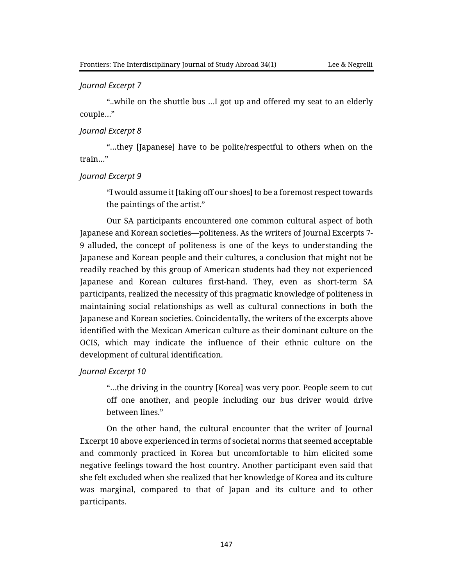#### *Journal Excerpt 7*

"..while on the shuttle bus …I got up and offered my seat to an elderly couple…"

#### *Journal Excerpt 8*

"…they [Japanese] have to be polite/respectful to others when on the train…"

#### *Journal Excerpt 9*

"I would assume it [taking off our shoes] to be a foremost respect towards the paintings of the artist."

Our SA participants encountered one common cultural aspect of both Japanese and Korean societies—politeness. As the writers of Journal Excerpts 7- 9 alluded, the concept of politeness is one of the keys to understanding the Japanese and Korean people and their cultures, a conclusion that might not be readily reached by this group of American students had they not experienced Japanese and Korean cultures first-hand. They, even as short-term SA participants, realized the necessity of this pragmatic knowledge of politeness in maintaining social relationships as well as cultural connections in both the Japanese and Korean societies. Coincidentally, the writers of the excerpts above identified with the Mexican American culture as their dominant culture on the OCIS, which may indicate the influence of their ethnic culture on the development of cultural identification.

#### *Journal Excerpt 10*

"…the driving in the country [Korea] was very poor. People seem to cut off one another, and people including our bus driver would drive between lines."

On the other hand, the cultural encounter that the writer of Journal Excerpt 10 above experienced in terms of societal norms that seemed acceptable and commonly practiced in Korea but uncomfortable to him elicited some negative feelings toward the host country. Another participant even said that she felt excluded when she realized that her knowledge of Korea and its culture was marginal, compared to that of Japan and its culture and to other participants.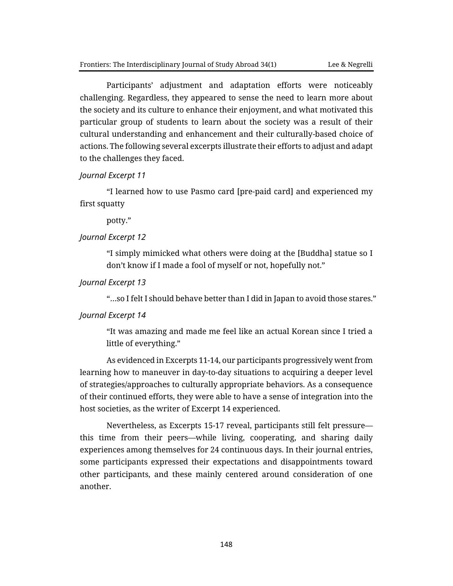Participants' adjustment and adaptation efforts were noticeably challenging. Regardless, they appeared to sense the need to learn more about the society and its culture to enhance their enjoyment, and what motivated this particular group of students to learn about the society was a result of their cultural understanding and enhancement and their culturally-based choice of actions. The following several excerpts illustrate their efforts to adjust and adapt to the challenges they faced.

#### *Journal Excerpt 11*

"I learned how to use Pasmo card [pre-paid card] and experienced my first squatty

potty."

#### *Journal Excerpt 12*

"I simply mimicked what others were doing at the [Buddha] statue so I don't know if I made a fool of myself or not, hopefully not."

*Journal Excerpt 13*

"…so I felt I should behave better than I did in Japan to avoid those stares."

#### *Journal Excerpt 14*

"It was amazing and made me feel like an actual Korean since I tried a little of everything."

As evidenced in Excerpts 11-14, our participants progressively went from learning how to maneuver in day-to-day situations to acquiring a deeper level of strategies/approaches to culturally appropriate behaviors. As a consequence of their continued efforts, they were able to have a sense of integration into the host societies, as the writer of Excerpt 14 experienced.

Nevertheless, as Excerpts 15-17 reveal, participants still felt pressure this time from their peers—while living, cooperating, and sharing daily experiences among themselves for 24 continuous days. In their journal entries, some participants expressed their expectations and disappointments toward other participants, and these mainly centered around consideration of one another.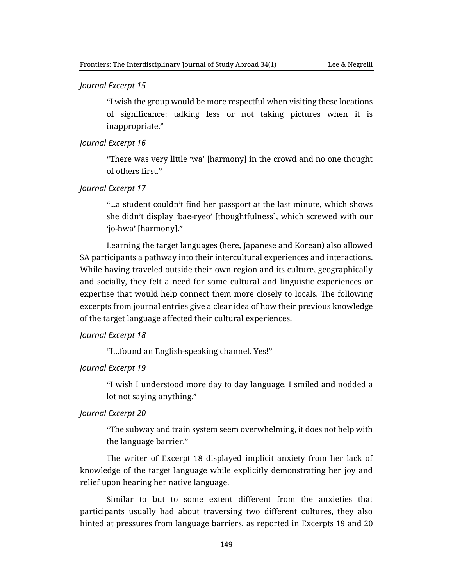#### *Journal Excerpt 15*

"I wish the group would be more respectful when visiting these locations of significance: talking less or not taking pictures when it is inappropriate."

#### *Journal Excerpt 16*

"There was very little 'wa' [harmony] in the crowd and no one thought of others first."

*Journal Excerpt 17*

"...a student couldn't find her passport at the last minute, which shows she didn't display 'bae-ryeo' [thoughtfulness], which screwed with our 'jo-hwa' [harmony]."

Learning the target languages (here, Japanese and Korean) also allowed SA participants a pathway into their intercultural experiences and interactions. While having traveled outside their own region and its culture, geographically and socially, they felt a need for some cultural and linguistic experiences or expertise that would help connect them more closely to locals. The following excerpts from journal entries give a clear idea of how their previous knowledge of the target language affected their cultural experiences.

#### *Journal Excerpt 18*

"I…found an English-speaking channel. Yes!"

#### *Journal Excerpt 19*

"I wish I understood more day to day language. I smiled and nodded a lot not saying anything."

#### *Journal Excerpt 20*

"The subway and train system seem overwhelming, it does not help with the language barrier."

The writer of Excerpt 18 displayed implicit anxiety from her lack of knowledge of the target language while explicitly demonstrating her joy and relief upon hearing her native language.

Similar to but to some extent different from the anxieties that participants usually had about traversing two different cultures, they also hinted at pressures from language barriers, as reported in Excerpts 19 and 20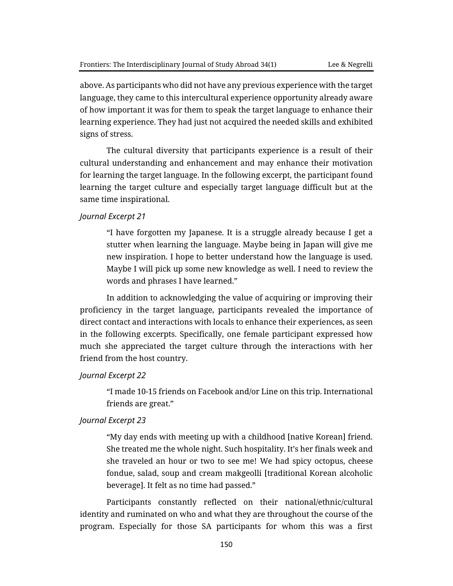above. As participants who did not have any previous experience with the target language, they came to this intercultural experience opportunity already aware of how important it was for them to speak the target language to enhance their learning experience. They had just not acquired the needed skills and exhibited signs of stress.

The cultural diversity that participants experience is a result of their cultural understanding and enhancement and may enhance their motivation for learning the target language. In the following excerpt, the participant found learning the target culture and especially target language difficult but at the same time inspirational.

#### *Journal Excerpt 21*

"I have forgotten my Japanese. It is a struggle already because I get a stutter when learning the language. Maybe being in Japan will give me new inspiration. I hope to better understand how the language is used. Maybe I will pick up some new knowledge as well. I need to review the words and phrases I have learned."

In addition to acknowledging the value of acquiring or improving their proficiency in the target language, participants revealed the importance of direct contact and interactions with locals to enhance their experiences, as seen in the following excerpts. Specifically, one female participant expressed how much she appreciated the target culture through the interactions with her friend from the host country.

#### *Journal Excerpt 22*

"I made 10-15 friends on Facebook and/or Line on this trip. International friends are great."

#### *Journal Excerpt 23*

"My day ends with meeting up with a childhood [native Korean] friend. She treated me the whole night. Such hospitality. It's her finals week and she traveled an hour or two to see me! We had spicy octopus, cheese fondue, salad, soup and cream makgeolli [traditional Korean alcoholic beverage]. It felt as no time had passed."

Participants constantly reflected on their national/ethnic/cultural identity and ruminated on who and what they are throughout the course of the program. Especially for those SA participants for whom this was a first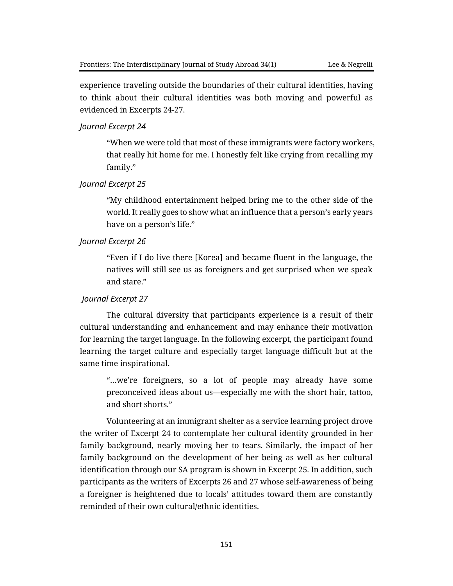experience traveling outside the boundaries of their cultural identities, having to think about their cultural identities was both moving and powerful as evidenced in Excerpts 24-27.

#### *Journal Excerpt 24*

"When we were told that most of these immigrants were factory workers, that really hit home for me. I honestly felt like crying from recalling my family."

#### *Journal Excerpt 25*

"My childhood entertainment helped bring me to the other side of the world. It really goes to show what an influence that a person's early years have on a person's life."

#### *Journal Excerpt 26*

"Even if I do live there [Korea] and became fluent in the language, the natives will still see us as foreigners and get surprised when we speak and stare."

#### *Journal Excerpt 27*

The cultural diversity that participants experience is a result of their cultural understanding and enhancement and may enhance their motivation for learning the target language. In the following excerpt, the participant found learning the target culture and especially target language difficult but at the same time inspirational.

"…we're foreigners, so a lot of people may already have some preconceived ideas about us—especially me with the short hair, tattoo, and short shorts."

Volunteering at an immigrant shelter as a service learning project drove the writer of Excerpt 24 to contemplate her cultural identity grounded in her family background, nearly moving her to tears. Similarly, the impact of her family background on the development of her being as well as her cultural identification through our SA program is shown in Excerpt 25. In addition, such participants as the writers of Excerpts 26 and 27 whose self-awareness of being a foreigner is heightened due to locals' attitudes toward them are constantly reminded of their own cultural/ethnic identities.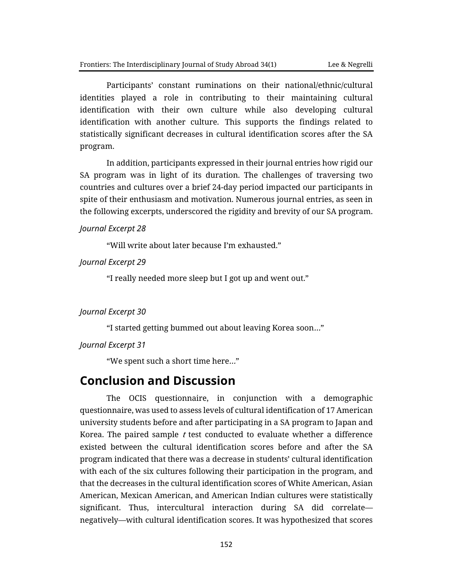Participants' constant ruminations on their national/ethnic/cultural identities played a role in contributing to their maintaining cultural identification with their own culture while also developing cultural identification with another culture. This supports the findings related to statistically significant decreases in cultural identification scores after the SA program.

In addition, participants expressed in their journal entries how rigid our SA program was in light of its duration. The challenges of traversing two countries and cultures over a brief 24-day period impacted our participants in spite of their enthusiasm and motivation. Numerous journal entries, as seen in the following excerpts, underscored the rigidity and brevity of our SA program.

*Journal Excerpt 28*

"Will write about later because I'm exhausted."

*Journal Excerpt 29*

"I really needed more sleep but I got up and went out."

#### *Journal Excerpt 30*

"I started getting bummed out about leaving Korea soon…"

*Journal Excerpt 31*

"We spent such a short time here…"

# **Conclusion and Discussion**

The OCIS questionnaire, in conjunction with a demographic questionnaire, was used to assess levels of cultural identification of 17 American university students before and after participating in a SA program to Japan and Korea. The paired sample  $t$  test conducted to evaluate whether a difference existed between the cultural identification scores before and after the SA program indicated that there was a decrease in students' cultural identification with each of the six cultures following their participation in the program, and that the decreases in the cultural identification scores of White American, Asian American, Mexican American, and American Indian cultures were statistically significant. Thus, intercultural interaction during SA did correlate negatively—with cultural identification scores. It was hypothesized that scores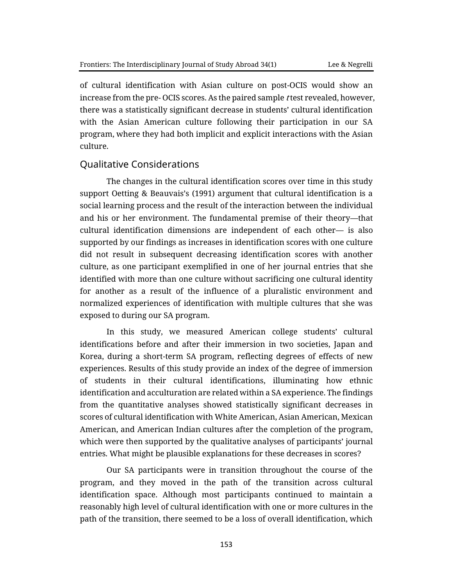of cultural identification with Asian culture on post-OCIS would show an increase from the pre- OCIS scores. As the paired sample t test revealed, however, there was a statistically significant decrease in students' cultural identification with the Asian American culture following their participation in our SA program, where they had both implicit and explicit interactions with the Asian culture.

#### Qualitative Considerations

The changes in the cultural identification scores over time in this study support Oetting & Beauvais's (1991) argument that cultural identification is a social learning process and the result of the interaction between the individual and his or her environment. The fundamental premise of their theory—that cultural identification dimensions are independent of each other— is also supported by our findings as increases in identification scores with one culture did not result in subsequent decreasing identification scores with another culture, as one participant exemplified in one of her journal entries that she identified with more than one culture without sacrificing one cultural identity for another as a result of the influence of a pluralistic environment and normalized experiences of identification with multiple cultures that she was exposed to during our SA program.

In this study, we measured American college students' cultural identifications before and after their immersion in two societies, Japan and Korea, during a short-term SA program, reflecting degrees of effects of new experiences. Results of this study provide an index of the degree of immersion of students in their cultural identifications, illuminating how ethnic identification and acculturation are related within a SA experience. The findings from the quantitative analyses showed statistically significant decreases in scores of cultural identification with White American, Asian American, Mexican American, and American Indian cultures after the completion of the program, which were then supported by the qualitative analyses of participants' journal entries. What might be plausible explanations for these decreases in scores?

Our SA participants were in transition throughout the course of the program, and they moved in the path of the transition across cultural identification space. Although most participants continued to maintain a reasonably high level of cultural identification with one or more cultures in the path of the transition, there seemed to be a loss of overall identification, which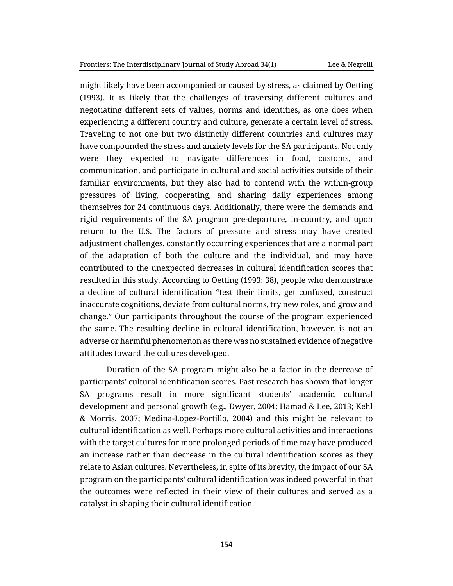might likely have been accompanied or caused by stress, as claimed by Oetting (1993). It is likely that the challenges of traversing different cultures and negotiating different sets of values, norms and identities, as one does when experiencing a different country and culture, generate a certain level of stress. Traveling to not one but two distinctly different countries and cultures may have compounded the stress and anxiety levels for the SA participants. Not only were they expected to navigate differences in food, customs, and communication, and participate in cultural and social activities outside of their familiar environments, but they also had to contend with the within-group pressures of living, cooperating, and sharing daily experiences among themselves for 24 continuous days. Additionally, there were the demands and rigid requirements of the SA program pre-departure, in-country, and upon return to the U.S. The factors of pressure and stress may have created adjustment challenges, constantly occurring experiences that are a normal part of the adaptation of both the culture and the individual, and may have contributed to the unexpected decreases in cultural identification scores that resulted in this study. According to Oetting (1993: 38), people who demonstrate a decline of cultural identification "test their limits, get confused, construct inaccurate cognitions, deviate from cultural norms, try new roles, and grow and change." Our participants throughout the course of the program experienced the same. The resulting decline in cultural identification, however, is not an adverse or harmful phenomenon as there was no sustained evidence of negative attitudes toward the cultures developed.

Duration of the SA program might also be a factor in the decrease of participants' cultural identification scores. Past research has shown that longer SA programs result in more significant students' academic, cultural development and personal growth (e.g., Dwyer, 2004; Hamad & Lee, 2013; Kehl & Morris, 2007; Medina-Lopez-Portillo, 2004) and this might be relevant to cultural identification as well. Perhaps more cultural activities and interactions with the target cultures for more prolonged periods of time may have produced an increase rather than decrease in the cultural identification scores as they relate to Asian cultures. Nevertheless, in spite of its brevity, the impact of our SA program on the participants' cultural identification was indeed powerful in that the outcomes were reflected in their view of their cultures and served as a catalyst in shaping their cultural identification.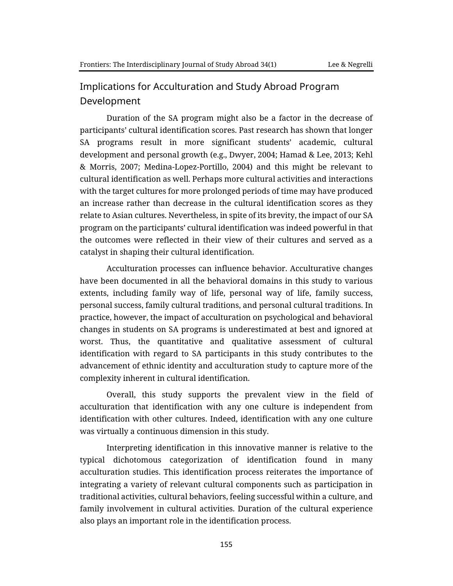# Implications for Acculturation and Study Abroad Program Development

Duration of the SA program might also be a factor in the decrease of participants' cultural identification scores. Past research has shown that longer SA programs result in more significant students' academic, cultural development and personal growth (e.g., Dwyer, 2004; Hamad & Lee, 2013; Kehl & Morris, 2007; Medina-Lopez-Portillo, 2004) and this might be relevant to cultural identification as well. Perhaps more cultural activities and interactions with the target cultures for more prolonged periods of time may have produced an increase rather than decrease in the cultural identification scores as they relate to Asian cultures. Nevertheless, in spite of its brevity, the impact of our SA program on the participants' cultural identification was indeed powerful in that the outcomes were reflected in their view of their cultures and served as a catalyst in shaping their cultural identification.

Acculturation processes can influence behavior. Acculturative changes have been documented in all the behavioral domains in this study to various extents, including family way of life, personal way of life, family success, personal success, family cultural traditions, and personal cultural traditions. In practice, however, the impact of acculturation on psychological and behavioral changes in students on SA programs is underestimated at best and ignored at worst. Thus, the quantitative and qualitative assessment of cultural identification with regard to SA participants in this study contributes to the advancement of ethnic identity and acculturation study to capture more of the complexity inherent in cultural identification.

Overall, this study supports the prevalent view in the field of acculturation that identification with any one culture is independent from identification with other cultures. Indeed, identification with any one culture was virtually a continuous dimension in this study.

Interpreting identification in this innovative manner is relative to the typical dichotomous categorization of identification found in many acculturation studies. This identification process reiterates the importance of integrating a variety of relevant cultural components such as participation in traditional activities, cultural behaviors, feeling successful within a culture, and family involvement in cultural activities. Duration of the cultural experience also plays an important role in the identification process.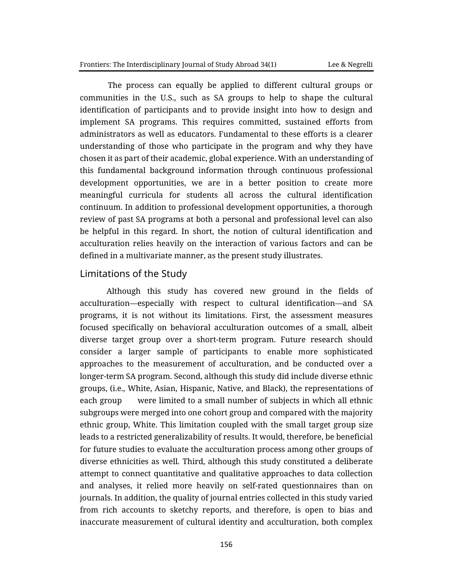The process can equally be applied to different cultural groups or communities in the U.S., such as SA groups to help to shape the cultural identification of participants and to provide insight into how to design and implement SA programs. This requires committed, sustained efforts from administrators as well as educators. Fundamental to these efforts is a clearer understanding of those who participate in the program and why they have chosen it as part of their academic, global experience. With an understanding of this fundamental background information through continuous professional development opportunities, we are in a better position to create more meaningful curricula for students all across the cultural identification continuum. In addition to professional development opportunities, a thorough review of past SA programs at both a personal and professional level can also be helpful in this regard. In short, the notion of cultural identification and acculturation relies heavily on the interaction of various factors and can be defined in a multivariate manner, as the present study illustrates.

## Limitations of the Study

Although this study has covered new ground in the fields of acculturation—especially with respect to cultural identification—and SA programs, it is not without its limitations. First, the assessment measures focused specifically on behavioral acculturation outcomes of a small, albeit diverse target group over a short-term program. Future research should consider a larger sample of participants to enable more sophisticated approaches to the measurement of acculturation, and be conducted over a longer-term SA program. Second, although this study did include diverse ethnic groups, (i.e., White, Asian, Hispanic, Native, and Black), the representations of each group were limited to a small number of subjects in which all ethnic subgroups were merged into one cohort group and compared with the majority ethnic group, White. This limitation coupled with the small target group size leads to a restricted generalizability of results. It would, therefore, be beneficial for future studies to evaluate the acculturation process among other groups of diverse ethnicities as well. Third, although this study constituted a deliberate attempt to connect quantitative and qualitative approaches to data collection and analyses, it relied more heavily on self-rated questionnaires than on journals. In addition, the quality of journal entries collected in this study varied from rich accounts to sketchy reports, and therefore, is open to bias and inaccurate measurement of cultural identity and acculturation, both complex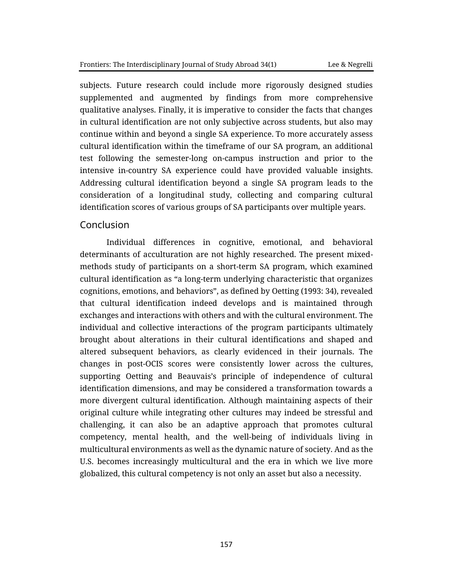subjects. Future research could include more rigorously designed studies supplemented and augmented by findings from more comprehensive qualitative analyses. Finally, it is imperative to consider the facts that changes in cultural identification are not only subjective across students, but also may continue within and beyond a single SA experience. To more accurately assess cultural identification within the timeframe of our SA program, an additional test following the semester-long on-campus instruction and prior to the intensive in-country SA experience could have provided valuable insights. Addressing cultural identification beyond a single SA program leads to the consideration of a longitudinal study, collecting and comparing cultural identification scores of various groups of SA participants over multiple years.

## Conclusion

Individual differences in cognitive, emotional, and behavioral determinants of acculturation are not highly researched. The present mixedmethods study of participants on a short-term SA program, which examined cultural identification as "a long-term underlying characteristic that organizes cognitions, emotions, and behaviors", as defined by Oetting (1993: 34), revealed that cultural identification indeed develops and is maintained through exchanges and interactions with others and with the cultural environment. The individual and collective interactions of the program participants ultimately brought about alterations in their cultural identifications and shaped and altered subsequent behaviors, as clearly evidenced in their journals. The changes in post-OCIS scores were consistently lower across the cultures, supporting Oetting and Beauvais's principle of independence of cultural identification dimensions, and may be considered a transformation towards a more divergent cultural identification. Although maintaining aspects of their original culture while integrating other cultures may indeed be stressful and challenging, it can also be an adaptive approach that promotes cultural competency, mental health, and the well-being of individuals living in multicultural environments as well as the dynamic nature of society. And as the U.S. becomes increasingly multicultural and the era in which we live more globalized, this cultural competency is not only an asset but also a necessity.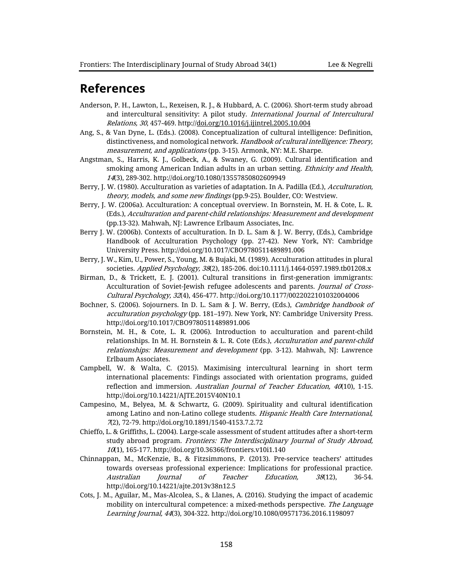# **References**

- Anderson, P. H., Lawton, L., Rexeisen, R. J., & Hubbard, A. C. (2006). Short-term study abroad and intercultural sensitivity: A pilot study. International Journal of Intercultural Relations, 30, 457-469. http:/[/doi.org/10.1016/j.ijintrel.2005.10.004](https://doi.org/10.1016/j.ijintrel.2005.10.004)
- Ang, S., & Van Dyne, L. (Eds.). (2008). Conceptualization of cultural intelligence: Definition, distinctiveness, and nomological network. Handbook of cultural intelligence: Theory, measurement, and applications (pp. 3-15). Armonk, NY: M.E. Sharpe.
- Angstman, S., Harris, K. J., Golbeck, A., & Swaney, G. (2009). Cultural identification and smoking among American Indian adults in an urban setting. Ethnicity and Health, 14(3), 289-302. http://doi.org/10.1080/13557850802609949
- Berry, J. W. (1980). Acculturation as varieties of adaptation. In A. Padilla (Ed.), Acculturation, theory, models, and some new findings (pp.9-25). Boulder, CO: Westview.
- Berry, J. W. (2006a). Acculturation: A conceptual overview. In Bornstein, M. H. & Cote, L. R. (Eds.), Acculturation and parent-child relationships: Measurement and development (pp.13-32). Mahwah, NJ: Lawrence Erlbaum Associates, Inc.
- Berry J. W. (2006b). Contexts of acculturation. In D. L. Sam & J. W. Berry, (Eds.), Cambridge Handbook of Acculturation Psychology (pp. 27-42). New York, NY: Cambridge University Press. http://doi.org/10.1017/CBO9780511489891.006
- Berry, J. W., Kim, U., Power, S., Young, M. & Bujaki, M. (1989). Acculturation attitudes in plural societies. Applied Psychology, 38(2), 185-206. doi:10.1111/j.1464-0597.1989.tb01208.x
- Birman, D., & Trickett, E. J. (2001). Cultural transitions in first-generation immigrants: Acculturation of Soviet-Jewish refugee adolescents and parents. Journal of Cross-Cultural Psychology, 32(4), 456-477. http://doi.org/10.1177/0022022101032004006
- Bochner, S. (2006). Sojourners. In D. L. Sam & J. W. Berry, (Eds.), Cambridge handbook of acculturation psychology (pp. 181–197). New York, NY: Cambridge University Press. http://doi.org/10.1017/CBO9780511489891.006
- Bornstein, M. H., & Cote, L. R. (2006). Introduction to acculturation and parent-child relationships. In M. H. Bornstein & L. R. Cote (Eds.), Acculturation and parent-child relationships: Measurement and development (pp. 3-12). Mahwah, NJ: Lawrence Erlbaum Associates.
- Campbell, W. & Walta, C. (2015). Maximising intercultural learning in short term international placements: Findings associated with orientation programs, guided reflection and immersion. Australian Journal of Teacher Education, 40(10), 1-15. http://doi.org/10.14221/AJTE.2015V40N10.1
- Campesino, M., Belyea, M. & Schwartz, G. (2009). Spirituality and cultural identification among Latino and non-Latino college students. Hispanic Health Care International, 7(2), 72-79. http://doi.org/10.1891/1540-4153.7.2.72
- Chieffo, L. & Griffiths, L. (2004). Large-scale assessment of student attitudes after a short-term study abroad program. Frontiers: The Interdisciplinary Journal of Study Abroad, 10(1), 165-177. http://doi.org/10.36366/frontiers.v10i1.140
- Chinnappan, M., McKenzie, B., & Fitzsimmons, P. (2013). Pre-service teachers' attitudes towards overseas professional experience: Implications for professional practice. Australian Journal of Teacher Education, 38(12), 36-54. http://doi.org/10.14221/ajte.2013v38n12.5
- Cots, J. M., Aguilar, M., Mas-Alcolea, S., & Llanes, A. (2016). Studying the impact of academic mobility on intercultural competence: a mixed-methods perspective. The Language Learning Journal, 44(3), 304-322. http://doi.org/10.1080/09571736.2016.1198097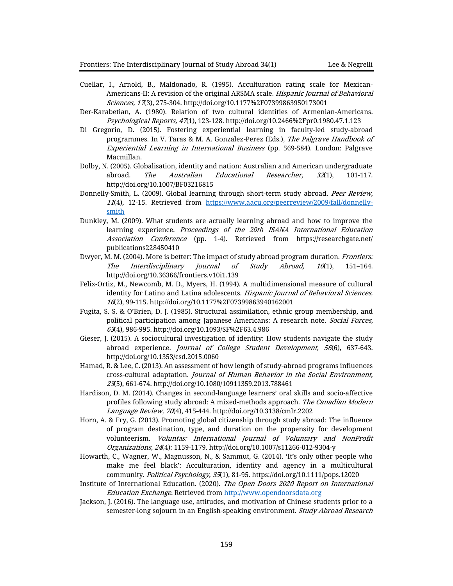- Cuellar, I., Arnold, B., Maldonado, R. (1995). Acculturation rating scale for Mexican-Americans-II: A revision of the original ARSMA scale. Hispanic Journal of Behavioral Sciences, 17(3), 275-304. http://doi.org/10.1177%2F07399863950173001
- Der-Karabetian, A. (1980). Relation of two cultural identities of Armenian-Americans. Psychological Reports, 47(1), 123-128. http://doi.org/10.2466%2Fpr0.1980.47.1.123
- Di Gregorio, D. (2015). Fostering experiential learning in faculty-led study-abroad programmes. In V. Taras & M. A. Gonzalez-Perez (Eds.), The Palgrave Handbook of Experiential Learning in International Business (pp. 569-584). London: Palgrave Macmillan.
- Dolby, N. (2005). Globalisation, identity and nation: Australian and American undergraduate abroad. The Australian Educational Researcher, 32(1), 101-117. http://doi.org/10.1007/BF03216815
- Donnelly-Smith, L. (2009). Global learning through short-term study abroad. Peer Review, 11(4), 12-15. Retrieved from [https://www.aacu.org/peerreview/2009/fall/donnelly](https://www.aacu.org/peerreview/2009/fall/donnelly-smith)[smith](https://www.aacu.org/peerreview/2009/fall/donnelly-smith)
- Dunkley, M. (2009). What students are actually learning abroad and how to improve the learning experience. Proceedings of the 20th ISANA International Education Association Conference (pp. 1-4). Retrieved from https://researchgate.net/ publications228450410
- Dwyer, M. M. (2004). More is better: The impact of study abroad program duration. *Frontiers:* The Interdisciplinary Journal of Study Abroad, 10(1), 151–164. http://doi.org/10.36366/frontiers.v10i1.139
- Felix-Ortiz, M., Newcomb, M. D., Myers, H. (1994). A multidimensional measure of cultural identity for Latino and Latina adolescents. Hispanic Journal of Behavioral Sciences, 16(2), 99-115. http://doi.org/10.1177%2F07399863940162001
- Fugita, S. S. & O'Brien, D. J. (1985). Structural assimilation, ethnic group membership, and political participation among Japanese Americans: A research note. Social Forces, 63(4), 986-995. http://doi.org/10.1093/SF%2F63.4.986
- Gieser, J. (2015). A sociocultural investigation of identity: How students navigate the study abroad experience. Journal of College Student Development, 56(6), 637-643. http://doi.org/10.1353/csd.2015.0060
- Hamad, R. & Lee, C. (2013). An assessment of how length of study-abroad programs influences cross-cultural adaptation. Journal of Human Behavior in the Social Environment, 23(5), 661-674. http://doi.org/10.1080/10911359.2013.788461
- Hardison, D. M. (2014). Changes in second-language learners' oral skills and socio-affective profiles following study abroad: A mixed-methods approach. The Canadian Modern Language Review, 70(4), 415-444. http://doi.org/10.3138/cmlr.2202
- Horn, A. & Fry, G. (2013). Promoting global citizenship through study abroad: The influence of program destination, type, and duration on the propensity for development volunteerism. Voluntas: International Journal of Voluntary and NonProfit Organizations, 24(4): 1159-1179. http://doi.org/10.1007/s11266-012-9304-y
- Howarth, C., Wagner, W., Magnusson, N., & Sammut, G. (2014). 'It's only other people who make me feel black': Acculturation, identity and agency in a multicultural community. Political Psychology, 35(1), 81-95. https://doi.org/10.1111/pops.12020
- Institute of International Education. (2020). The Open Doors 2020 Report on International Education Exchange. Retrieved from [http://www.opendoorsdata.org](http://www.opendoorsdata.org/)
- Jackson, J. (2016). The language use, attitudes, and motivation of Chinese students prior to a semester-long sojourn in an English-speaking environment. Study Abroad Research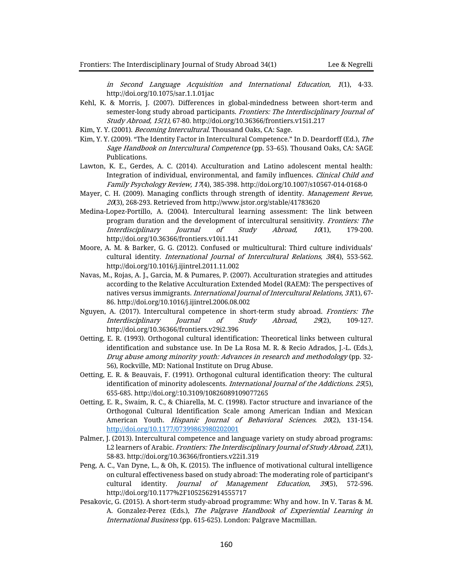in Second Language Acquisition and International Education, 1(1), 4-33. http://doi.org/10.1075/sar.1.1.01jac

- Kehl, K. & Morris, J. (2007). Differences in global-mindedness between short-term and semester-long study abroad participants. Frontiers: The Interdisciplinary Journal of Study Abroad, 15(1), 67-80. http://doi.org/10.36366/frontiers.v15i1.217
- Kim, Y. Y. (2001). *Becoming Intercultural*. Thousand Oaks, CA: Sage.
- Kim, Y. Y. (2009). "The Identity Factor in Intercultural Competence." In D. Deardorff (Ed.), The Sage Handbook on Intercultural Competence (pp. 53–65). Thousand Oaks, CA: SAGE Publications.
- Lawton, K. E., Gerdes, A. C. (2014). Acculturation and Latino adolescent mental health: Integration of individual, environmental, and family influences. Clinical Child and Family Psychology Review, 17(4), 385-398. http://doi.org/10.1007/s10567-014-0168-0
- Mayer, C. H. (2009). Managing conflicts through strength of identity. *Management Revue*,  $20(3)$ , 268-293. Retrieved from http://www.jstor.org/stable/41783620
- Medina-Lopez-Portillo, A. (2004). Intercultural learning assessment: The link between program duration and the development of intercultural sensitivity. Frontiers: The Interdisciplinary Journal of Study Abroad, 10(1), 179-200. http://doi.org/10.36366/frontiers.v10i1.141
- Moore, A. M. & Barker, G. G. (2012). Confused or multicultural: Third culture individuals' cultural identity. International Journal of Intercultural Relations, 36(4), 553-562. http://doi.org/10.1016/j.ijintrel.2011.11.002
- Navas, M., Rojas, A. J., Garcia, M. & Pumares, P. (2007). Acculturation strategies and attitudes according to the Relative Acculturation Extended Model (RAEM): The perspectives of natives versus immigrants. International Journal of Intercultural Relations, 31(1), 67-86. http://doi.org/10.1016/j.ijintrel.2006.08.002
- Nguyen, A. (2017). Intercultural competence in short-term study abroad. Frontiers: The Interdisciplinary Journal of Study Abroad, 29(2), 109-127. http://doi.org/10.36366/frontiers.v29i2.396
- Oetting, E. R. (1993). Orthogonal cultural identification: Theoretical links between cultural identification and substance use. In De La Rosa M. R. & Recio Adrados, J.-L. (Eds.), Drug abuse among minority youth: Advances in research and methodology (pp. 32- 56), Rockville, MD: National Institute on Drug Abuse.
- Oetting, E. R. & Beauvais, F. (1991). Orthogonal cultural identification theory: The cultural identification of minority adolescents. International Journal of the Addictions. 25(5), 655-685. http://doi.org/:10.3109/10826089109077265
- Oetting, E. R., Swaim, R. C., & Chiarella, M. C. (1998). Factor structure and invariance of the Orthogonal Cultural Identification Scale among American Indian and Mexican American Youth[.](https://doi.org/10.1177%2F07399863980202001) Hispanic Journal of Behavioral Sciences. 20(2), 131-154. [http://doi.org/10.1177/07399863980202001](https://doi.org/10.1177%2F07399863980202001)
- Palmer, J. (2013). Intercultural competence and language variety on study abroad programs: L2 learners of Arabic. Frontiers: The Interdisciplinary Journal of Study Abroad, 22(1), 58-83. http://doi.org/10.36366/frontiers.v22i1.319
- Peng, A. C., Van Dyne, L., & Oh, K. (2015). The influence of motivational cultural intelligence on cultural effectiveness based on study abroad: The moderating role of participant's cultural identity. Journal of Management Education, 39(5), 572-596. http://doi.org/10.1177%2F1052562914555717
- Pesakovic, G. (2015). A short-term study-abroad programme: Why and how. In V. Taras & M. A. Gonzalez-Perez (Eds.), The Palgrave Handbook of Experiential Learning in International Business (pp. 615-625). London: Palgrave Macmillan.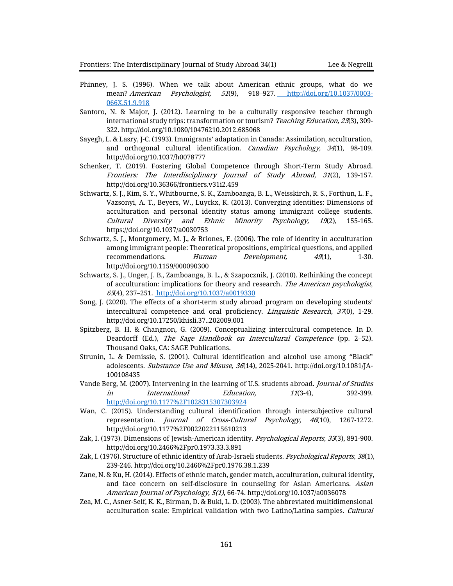- Phinney, J. S. (1996). When we talk about American ethnic groups, what do we mean? American Psychologist, 51(9), 918–927. [http://doi.org/10.1037/0003-](file:///C:/Users/jlee234/Desktop/Manuscripts:Conferences/Acculturation%20Study/OCIS/mixed-methods%20study/Manuscripts/Frontier/%20http:/doi.org/10.1037/0003-066X.51.9.918) [066X.51.9.918](file:///C:/Users/jlee234/Desktop/Manuscripts:Conferences/Acculturation%20Study/OCIS/mixed-methods%20study/Manuscripts/Frontier/%20http:/doi.org/10.1037/0003-066X.51.9.918)
- Santoro, N. & Major, J. (2012). Learning to be a culturally responsive teacher through international study trips: transformation or tourism? Teaching Education, 23(3), 309-322. http://doi.org/10.1080/10476210.2012.685068
- Sayegh, L. & Lasry, J-C. (1993). Immigrants' adaptation in Canada: Assimilation, acculturation, and orthogonal cultural identification. Canadian Psychology, 34(1), 98-109. http://doi.org/10.1037/h0078777
- Schenker, T. (2019). Fostering Global Competence through Short-Term Study Abroad. Frontiers: The Interdisciplinary Journal of Study Abroad, 31(2), 139-157. http://doi.org/10.36366/frontiers.v31i2.459
- Schwartz, S. J., Kim, S. Y., Whitbourne, S. K., Zamboanga, B. L., Weisskirch, R. S., Forthun, L. F., Vazsonyi, A. T., Beyers, W., Luyckx, K. (2013). Converging identities: Dimensions of acculturation and personal identity status among immigrant college students. Cultural Diversity and Ethnic Minority Psychology, 19(2), 155-165. https://doi.org/10.1037/a0030753
- Schwartz, S. J., Montgomery, M. J., & Briones, E. (2006). The role of identity in acculturation among immigrant people: Theoretical propositions, empirical questions, and applied recommendations. Human Development, 49(1), 1-30. http://doi.org/10.1159/000090300
- Schwartz, S. J., Unger, J. B., Zamboanga, B. L., & Szapocznik, J. (2010). Rethinking the concept of acculturation: implications for theory and research. The American psychologist, 65(4), 237–251. [http://doi.org/10.1037/a0019330](https://doi.org/10.1037/a0019330)
- Song, J. (2020). The effects of a short-term study abroad program on developing students' intercultural competence and oral proficiency. *Linguistic Research, 37*(0), 1-29. http://doi.org/10.17250/khisli.37..202009.001
- Spitzberg, B. H. & Changnon, G. (2009). Conceptualizing intercultural competence. In D. Deardorff (Ed.), The Sage Handbook on Intercultural Competence (pp. 2–52). Thousand Oaks, CA: SAGE Publications.
- Strunin, L. & Demissie, S. (2001). Cultural identification and alcohol use among "Black" adolescents. Substance Use and Misuse, 36(14), 2025-2041. http://doi.org/10.1081/JA-100108435
- Vande Berg, M. (2007). Intervening in the learning of U.S. students abroad. *Journal of Studies* in International Education, 11(3-4), 392-399. <http://doi.org/10.1177%2F1028315307303924>
- Wan, C. (2015). Understanding cultural identification through intersubjective cultural representation. Journal of Cross-Cultural Psychology, 46(10), 1267-1272. http://doi.org/10.1177%2F0022022115610213
- Zak, I. (1973). Dimensions of Jewish-American identity. Psychological Reports, 33(3), 891-900. http://doi.org/10.2466%2Fpr0.1973.33.3.891
- Zak, I. (1976). Structure of ethnic identity of Arab-Israeli students. Psychological Reports, 38(1), 239-246. http://doi.org/10.2466%2Fpr0.1976.38.1.239
- Zane, N. & Ku, H. (2014). Effects of ethnic match, gender match, acculturation, cultural identity, and face concern on self-disclosure in counseling for Asian Americans. Asian American Journal of Psychology, 5(1), 66-74. http://doi.org/10.1037/a0036078
- Zea, M. C., Asner-Self, K. K., Birman, D. & Buki, L. D. (2003). The abbreviated multidimensional acculturation scale: Empirical validation with two Latino/Latina samples. Cultural